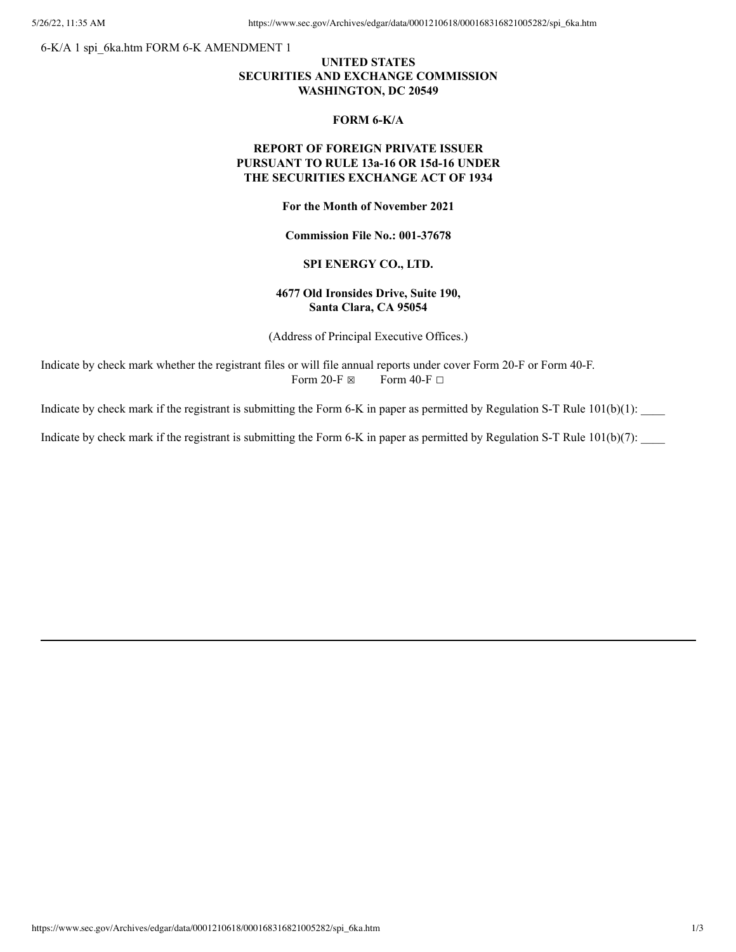6-K/A 1 spi\_6ka.htm FORM 6-K AMENDMENT 1

## **UNITED STATES SECURITIES AND EXCHANGE COMMISSION WASHINGTON, DC 20549**

#### **FORM 6-K/A**

# **REPORT OF FOREIGN PRIVATE ISSUER PURSUANT TO RULE 13a-16 OR 15d-16 UNDER THE SECURITIES EXCHANGE ACT OF 1934**

**For the Month of November 2021**

**Commission File No.: 001-37678**

## **SPI ENERGY CO., LTD.**

## **4677 Old Ironsides Drive, Suite 190, Santa Clara, CA 95054**

(Address of Principal Executive Offices.)

Indicate by check mark whether the registrant files or will file annual reports under cover Form 20-F or Form 40-F. Form 20-F  $\boxtimes$  Form 40-F  $\Box$ 

Indicate by check mark if the registrant is submitting the Form 6-K in paper as permitted by Regulation S-T Rule  $101(b)(1)$ :

Indicate by check mark if the registrant is submitting the Form 6-K in paper as permitted by Regulation S-T Rule 101(b)(7):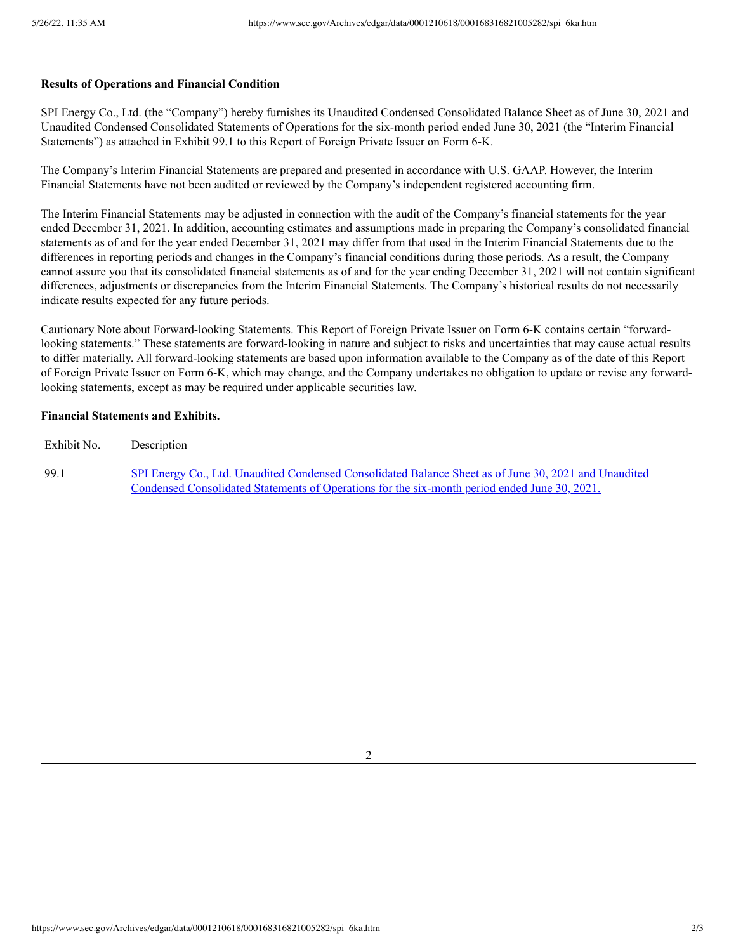#### **Results of Operations and Financial Condition**

SPI Energy Co., Ltd. (the "Company") hereby furnishes its Unaudited Condensed Consolidated Balance Sheet as of June 30, 2021 and Unaudited Condensed Consolidated Statements of Operations for the six-month period ended June 30, 2021 (the "Interim Financial Statements") as attached in Exhibit 99.1 to this Report of Foreign Private Issuer on Form 6-K.

The Company's Interim Financial Statements are prepared and presented in accordance with U.S. GAAP. However, the Interim Financial Statements have not been audited or reviewed by the Company's independent registered accounting firm.

The Interim Financial Statements may be adjusted in connection with the audit of the Company's financial statements for the year ended December 31, 2021. In addition, accounting estimates and assumptions made in preparing the Company's consolidated financial statements as of and for the year ended December 31, 2021 may differ from that used in the Interim Financial Statements due to the differences in reporting periods and changes in the Company's financial conditions during those periods. As a result, the Company cannot assure you that its consolidated financial statements as of and for the year ending December 31, 2021 will not contain significant differences, adjustments or discrepancies from the Interim Financial Statements. The Company's historical results do not necessarily indicate results expected for any future periods.

Cautionary Note about Forward-looking Statements. This Report of Foreign Private Issuer on Form 6-K contains certain "forwardlooking statements." These statements are forward-looking in nature and subject to risks and uncertainties that may cause actual results to differ materially. All forward-looking statements are based upon information available to the Company as of the date of this Report of Foreign Private Issuer on Form 6-K, which may change, and the Company undertakes no obligation to update or revise any forwardlooking statements, except as may be required under applicable securities law.

## **Financial Statements and Exhibits.**

Exhibit No. Description

99.1 SPI Energy Co., Ltd. Unaudited Condensed Consolidated Balance Sheet as of June 30, 2021 and Unaudited Condensed [Consolidated](https://www.sec.gov/Archives/edgar/data/0001210618/000168316821005282/spi_ex9901.htm) Statements of Operations for the six-month period ended June 30, 2021.

2